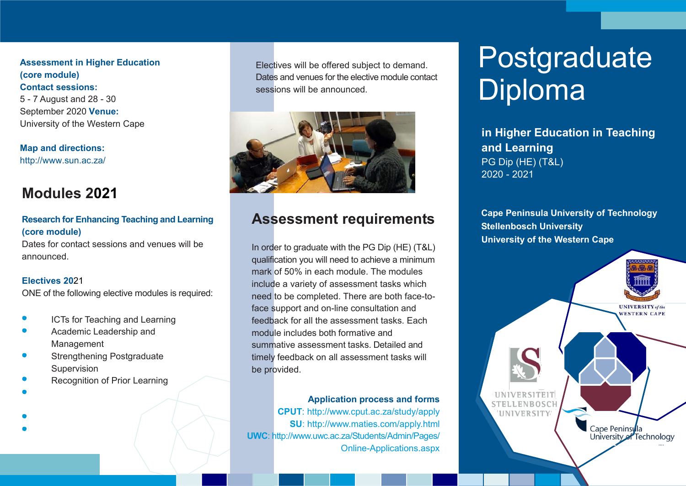**Assessment in Higher Education (core module) Contact sessions:** 5 - 7 August and 28 - 30 September 2020 **Venue:** University of the Western Cape

**Map and directions:** [http://www.sun.ac.za/](http://www.cput.ac.za/about/visit/bellville-campus)

#### **Modules 2021**

#### **Research for Enhancing Teaching and Learning (core module)**

Dates for contact sessions and venues will be announced.

#### **Electives 20**21

ONE of the following elective modules is required:

- ICTs for Teaching and Learning
- Academic Leadership and Management
- Strengthening Postgraduate Supervision
- Recognition of Prior Learning
- 
- 

Electives will be offered subject to demand. Dates and venues for the elective module contact sessions will be announced.



### **Assessment requirements**

In order to graduate with the PG Dip (HE) (T&L) qualification you will need to achieve a minimum mark of 50% in each module. The modules include a variety of assessment tasks which need to be completed. There are both face-toface support and on-line consultation and feedback for all the assessment tasks. Each module includes both formative and summative assessment tasks. Detailed and timely feedback on all assessment tasks will be provided.

**Application process and forms CPUT**[: http://www.cput.ac.za/study/apply](http://www.cput.ac.za/study/apply) **SU**:<http://www.maties.com/apply.html> **UWC**[: http://www.uwc.ac.za/Students/Admin/Pages/](http://www.uwc.ac.za/Students/Admin/Pages/) Online-Applications.aspx

# Postgraduate Diploma

**in Higher Education in Teaching and Learning** PG Dip (HE) (T&L) 2020 - 2021

**Cape Peninsula University of Technology Stellenbosch University University of the Western Cape**